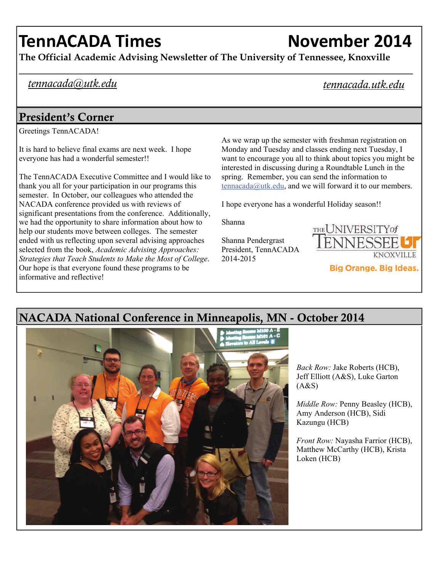# **TennACADA Times November 2014**

**The Official Academic Advising Newsletter of The University of Tennessee, Knoxville** 

#### *tennacada@utk.edu*

*tennacada.utk.edu* 

### President's Corner

Greetings TennACADA!

It is hard to believe final exams are next week. I hope everyone has had a wonderful semester!!

The TennACADA Executive Committee and I would like to thank you all for your participation in our programs this semester. In October, our colleagues who attended the NACADA conference provided us with reviews of significant presentations from the conference. Additionally, we had the opportunity to share information about how to help our students move between colleges. The semester ended with us reflecting upon several advising approaches selected from the book, *Academic Advising Approaches: Strategies that Teach Students to Make the Most of College*. Our hope is that everyone found these programs to be informative and reflective!

As we wrap up the semester with freshman registration on Monday and Tuesday and classes ending next Tuesday, I want to encourage you all to think about topics you might be interested in discussing during a Roundtable Lunch in the spring. Remember, you can send the information to [tennacada@utk.edu,](mailto:tennacada@utk.edu) and we will forward it to our members.

I hope everyone has a wonderful Holiday season!!

Shanna

Shanna Pendergrast President, TennACADA 2014-2015





## NACADA National Conference in Minneapolis, MN - October 2014

*Back Row:* Jake Roberts (HCB), Jeff Elliott (A&S), Luke Garton  $(A&S)$ 

*Middle Row:* Penny Beasley (HCB), Amy Anderson (HCB), Sidi Kazungu (HCB)

*Front Row:* Nayasha Farrior (HCB), Matthew McCarthy (HCB), Krista Loken (HCB)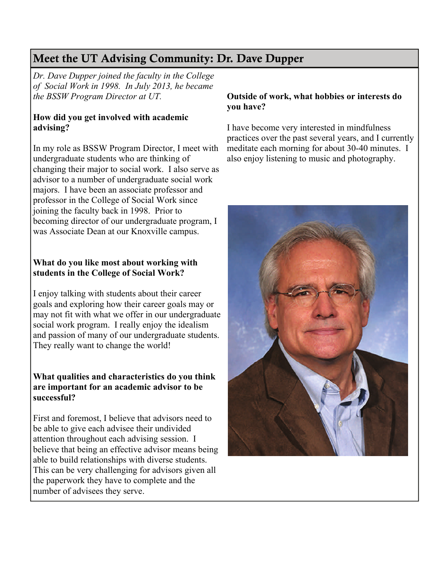## Meet the UT Advising Community: Dr. Dave Dupper

*Dr. Dave Dupper joined the faculty in the College of Social Work in 1998. In July 2013, he became the BSSW Program Director at UT.* 

#### **How did you get involved with academic advising?**

In my role as BSSW Program Director, I meet with undergraduate students who are thinking of changing their major to social work. I also serve as advisor to a number of undergraduate social work majors. I have been an associate professor and professor in the College of Social Work since joining the faculty back in 1998. Prior to becoming director of our undergraduate program, I was Associate Dean at our Knoxville campus.

#### **What do you like most about working with students in the College of Social Work?**

I enjoy talking with students about their career goals and exploring how their career goals may or may not fit with what we offer in our undergraduate social work program. I really enjoy the idealism and passion of many of our undergraduate students. They really want to change the world!

#### **What qualities and characteristics do you think are important for an academic advisor to be successful?**

First and foremost, I believe that advisors need to be able to give each advisee their undivided attention throughout each advising session. I believe that being an effective advisor means being able to build relationships with diverse students. This can be very challenging for advisors given all the paperwork they have to complete and the number of advisees they serve.

#### **Outside of work, what hobbies or interests do you have?**

I have become very interested in mindfulness practices over the past several years, and I currently meditate each morning for about 30-40 minutes. I also enjoy listening to music and photography.